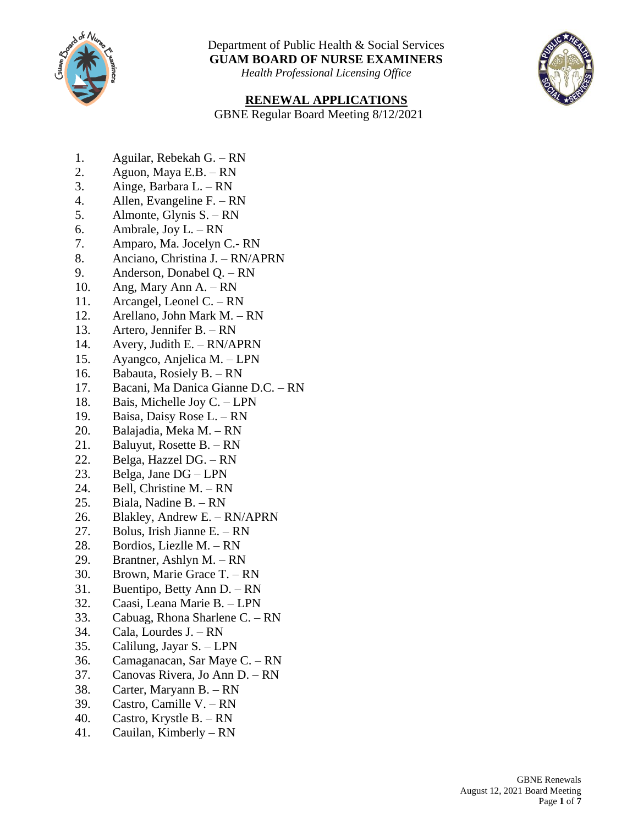

*Health Professional Licensing Office*



#### **RENEWAL APPLICATIONS**

GBNE Regular Board Meeting 8/12/2021

- 1. Aguilar, Rebekah G. RN
- 2. Aguon, Maya E.B. RN
- 3. Ainge, Barbara L. RN
- 4. Allen, Evangeline F. RN
- 5. Almonte, Glynis S. RN
- 6. Ambrale, Joy L. RN
- 7. Amparo, Ma. Jocelyn C.- RN
- 8. Anciano, Christina J. RN/APRN
- 9. Anderson, Donabel Q. RN
- 10. Ang, Mary Ann A. RN
- 11. Arcangel, Leonel C. RN
- 12. Arellano, John Mark M. RN
- 13. Artero, Jennifer B. RN
- 14. Avery, Judith E. RN/APRN
- 15. Ayangco, Anjelica M. LPN
- 16. Babauta, Rosiely B. RN
- 17. Bacani, Ma Danica Gianne D.C. RN
- 18. Bais, Michelle Joy C. LPN
- 19. Baisa, Daisy Rose L. RN
- 20. Balajadia, Meka M. RN
- 21. Baluyut, Rosette B. RN
- 22. Belga, Hazzel DG. RN
- 23. Belga, Jane DG LPN
- 24. Bell, Christine M. RN
- 25. Biala, Nadine B. RN
- 26. Blakley, Andrew E. RN/APRN
- 27. Bolus, Irish Jianne E. RN
- 28. Bordios, Liezlle M. RN
- 29. Brantner, Ashlyn M. RN
- 30. Brown, Marie Grace T. RN
- 31. Buentipo, Betty Ann D. RN
- 32. Caasi, Leana Marie B. LPN
- 33. Cabuag, Rhona Sharlene C. RN
- 34. Cala, Lourdes J. RN
- 35. Calilung, Jayar S. LPN
- 36. Camaganacan, Sar Maye C. RN
- 37. Canovas Rivera, Jo Ann D. RN
- 38. Carter, Maryann B. RN
- 39. Castro, Camille V. RN
- 40. Castro, Krystle B. RN
- 41. Cauilan, Kimberly RN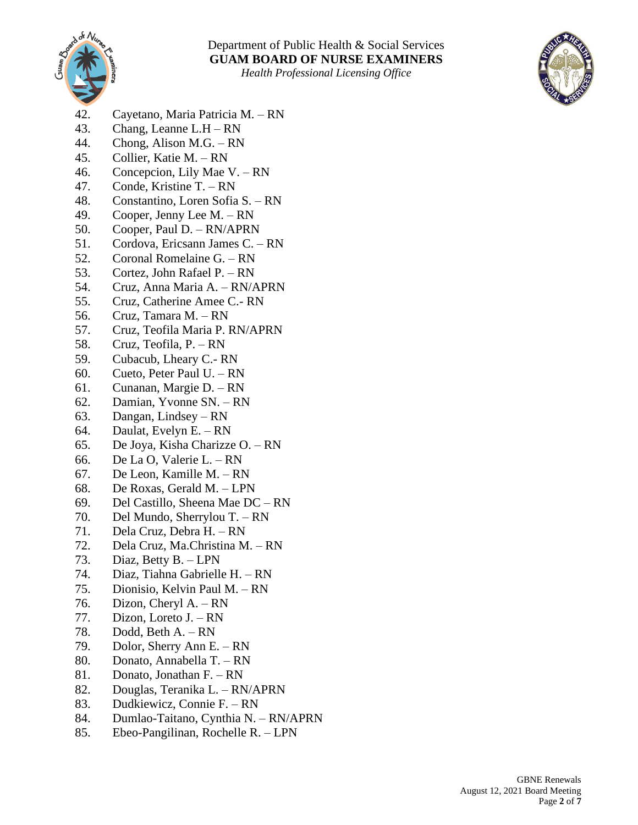



- 42. Cayetano, Maria Patricia M. RN
- 43. Chang, Leanne L.H RN
- 44. Chong, Alison M.G. RN
- 45. Collier, Katie M. RN
- 46. Concepcion, Lily Mae V. RN
- 47. Conde, Kristine T. RN
- 48. Constantino, Loren Sofia S. RN
- 49. Cooper, Jenny Lee M. RN
- 50. Cooper, Paul D. RN/APRN
- 51. Cordova, Ericsann James C. RN
- 52. Coronal Romelaine G. RN
- 53. Cortez, John Rafael P. RN
- 54. Cruz, Anna Maria A. RN/APRN
- 55. Cruz, Catherine Amee C.- RN
- 56. Cruz, Tamara M. RN
- 57. Cruz, Teofila Maria P. RN/APRN
- 58. Cruz, Teofila, P. RN
- 59. Cubacub, Lheary C.- RN
- 60. Cueto, Peter Paul U. RN
- 61. Cunanan, Margie D. RN
- 62. Damian, Yvonne SN. RN
- 63. Dangan, Lindsey RN
- 64. Daulat, Evelyn E. RN
- 65. De Joya, Kisha Charizze O. RN
- 66. De La O, Valerie L. RN
- 67. De Leon, Kamille M. RN
- 68. De Roxas, Gerald M. LPN
- 69. Del Castillo, Sheena Mae DC RN
- 70. Del Mundo, Sherrylou T. RN
- 71. Dela Cruz, Debra H. RN
- 72. Dela Cruz, Ma.Christina M. RN
- 73. Diaz, Betty B. LPN
- 74. Diaz, Tiahna Gabrielle H. RN
- 75. Dionisio, Kelvin Paul M. RN
- 76. Dizon, Cheryl A. RN
- 77. Dizon, Loreto J. RN
- 78. Dodd, Beth A. RN
- 79. Dolor, Sherry Ann E. RN
- 80. Donato, Annabella T. RN
- 81. Donato, Jonathan F. RN
- 82. Douglas, Teranika L. RN/APRN
- 83. Dudkiewicz, Connie F. RN
- 84. Dumlao-Taitano, Cynthia N. RN/APRN
- 85. Ebeo-Pangilinan, Rochelle R. LPN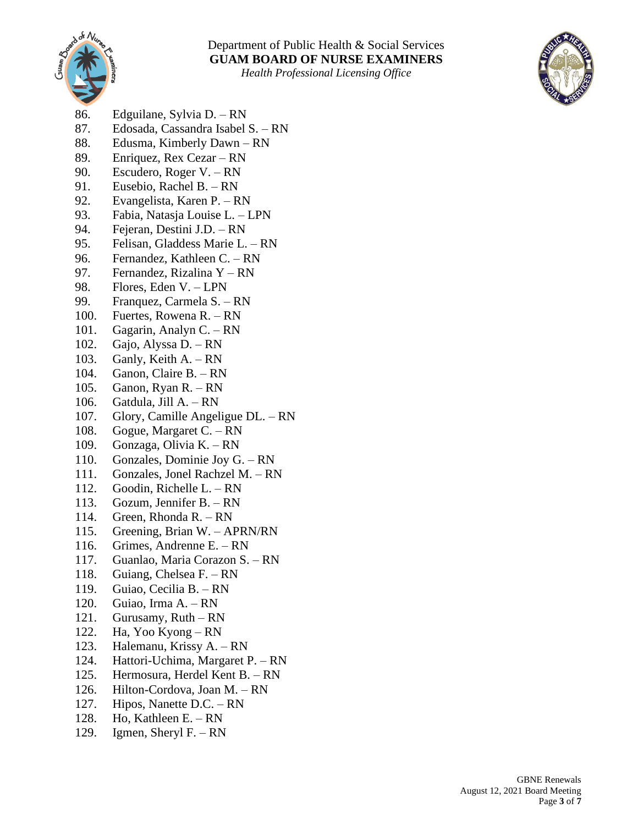



- 86. Edguilane, Sylvia D. RN
- 87. Edosada, Cassandra Isabel S. RN
- 88. Edusma, Kimberly Dawn RN
- 89. Enriquez, Rex Cezar RN
- 90. Escudero, Roger V. RN
- 91. Eusebio, Rachel B. RN
- 92. Evangelista, Karen P. RN
- 93. Fabia, Natasja Louise L. LPN
- 94. Fejeran, Destini J.D. RN
- 95. Felisan, Gladdess Marie L. RN
- 96. Fernandez, Kathleen C. RN
- 97. Fernandez, Rizalina Y RN
- 98. Flores, Eden V. LPN
- 99. Franquez, Carmela S. RN
- 100. Fuertes, Rowena R. RN
- 101. Gagarin, Analyn C. RN
- 102. Gajo, Alyssa D. RN
- 103. Ganly, Keith A. RN
- 104. Ganon, Claire B. RN
- 105. Ganon, Ryan R. RN
- 106. Gatdula, Jill A. RN
- 107. Glory, Camille Angeligue DL. RN
- 108. Gogue, Margaret C. RN
- 109. Gonzaga, Olivia K. RN
- 110. Gonzales, Dominie Joy G. RN
- 111. Gonzales, Jonel Rachzel M. RN
- 112. Goodin, Richelle L. RN
- 113. Gozum, Jennifer B. RN
- 114. Green, Rhonda R. RN
- 115. Greening, Brian W. APRN/RN
- 116. Grimes, Andrenne E. RN
- 117. Guanlao, Maria Corazon S. RN
- 118. Guiang, Chelsea F. RN
- 119. Guiao, Cecilia B. RN
- 120. Guiao, Irma A. RN
- 121. Gurusamy, Ruth RN
- 122. Ha, Yoo Kyong RN
- 123. Halemanu, Krissy A. RN
- 124. Hattori-Uchima, Margaret P. RN
- 125. Hermosura, Herdel Kent B. RN
- 126. Hilton-Cordova, Joan M. RN
- 127. Hipos, Nanette D.C. RN
- 128. Ho, Kathleen E. RN
- 129. Igmen, Sheryl F. RN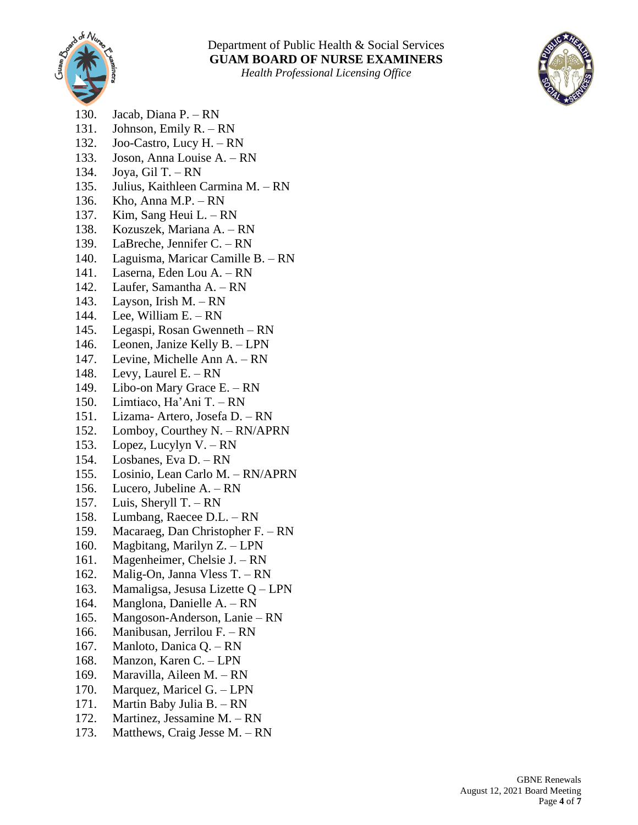



- 130. Jacab, Diana P. RN
- 131. Johnson, Emily R. RN
- 132. Joo-Castro, Lucy H. RN
- 133. Joson, Anna Louise A. RN
- 134. Joya, Gil T. RN
- 135. Julius, Kaithleen Carmina M. RN
- 136. Kho, Anna M.P. RN
- 137. Kim, Sang Heui L. RN
- 138. Kozuszek, Mariana A. RN
- 139. LaBreche, Jennifer C. RN
- 140. Laguisma, Maricar Camille B. RN
- 141. Laserna, Eden Lou A. RN
- 142. Laufer, Samantha A. RN
- 143. Layson, Irish M. RN
- 144. Lee, William E. RN
- 145. Legaspi, Rosan Gwenneth RN
- 146. Leonen, Janize Kelly B. LPN
- 147. Levine, Michelle Ann A. RN
- 148. Levy, Laurel E. RN
- 149. Libo-on Mary Grace E. RN
- 150. Limtiaco, Ha'Ani T. RN
- 151. Lizama- Artero, Josefa D. RN
- 152. Lomboy, Courthey N. RN/APRN
- 153. Lopez, Lucylyn V. RN
- 154. Losbanes, Eva D. RN
- 155. Losinio, Lean Carlo M. RN/APRN
- 156. Lucero, Jubeline A. RN
- 157. Luis, Sheryll T. RN
- 158. Lumbang, Raecee D.L. RN
- 159. Macaraeg, Dan Christopher F. RN
- 160. Magbitang, Marilyn Z. LPN
- 161. Magenheimer, Chelsie J. RN
- 162. Malig-On, Janna Vless T. RN
- 163. Mamaligsa, Jesusa Lizette Q LPN
- 164. Manglona, Danielle A. RN
- 165. Mangoson-Anderson, Lanie RN
- 166. Manibusan, Jerrilou F. RN
- 167. Manloto, Danica Q. RN
- 168. Manzon, Karen C. LPN
- 169. Maravilla, Aileen M. RN
- 170. Marquez, Maricel G. LPN
- 171. Martin Baby Julia B. RN
- 172. Martinez, Jessamine M. RN
- 173. Matthews, Craig Jesse M. RN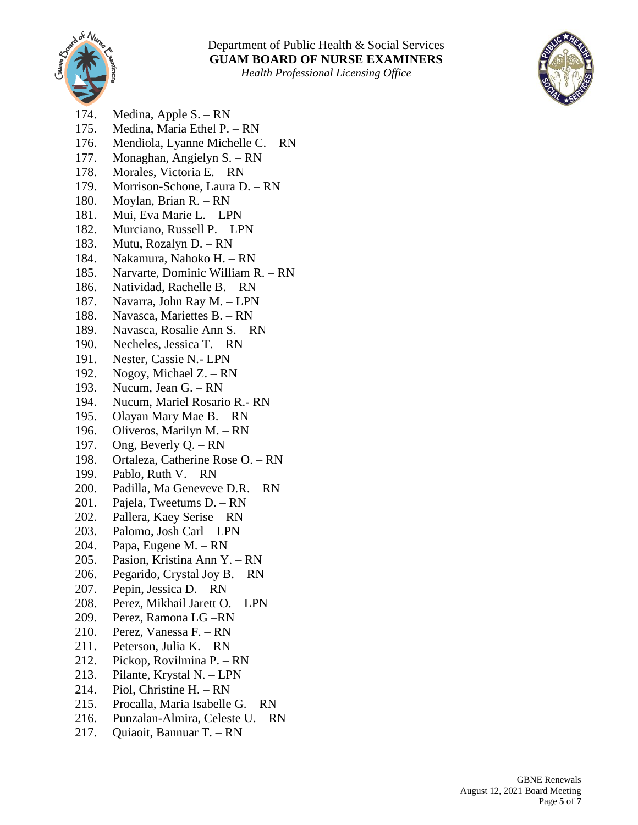



- 174. Medina, Apple S. RN
- 175. Medina, Maria Ethel P. RN
- 176. Mendiola, Lyanne Michelle C. RN
- 177. Monaghan, Angielyn S. RN
- 178. Morales, Victoria E. RN
- 179. Morrison-Schone, Laura D. RN
- 180. Moylan, Brian R. RN
- 181. Mui, Eva Marie L. LPN
- 182. Murciano, Russell P. LPN
- 183. Mutu, Rozalyn D. RN
- 184. Nakamura, Nahoko H. RN
- 185. Narvarte, Dominic William R. RN
- 186. Natividad, Rachelle B. RN
- 187. Navarra, John Ray M. LPN
- 188. Navasca, Mariettes B. RN
- 189. Navasca, Rosalie Ann S. RN
- 190. Necheles, Jessica T. RN
- 191. Nester, Cassie N.- LPN
- 192. Nogoy, Michael Z. RN
- 193. Nucum, Jean G. RN
- 194. Nucum, Mariel Rosario R.- RN
- 195. Olayan Mary Mae B. RN
- 196. Oliveros, Marilyn M. RN
- 197. Ong, Beverly Q. RN
- 198. Ortaleza, Catherine Rose O. RN
- 199. Pablo, Ruth V. RN
- 200. Padilla, Ma Geneveve D.R. RN
- 201. Pajela, Tweetums D. RN
- 202. Pallera, Kaey Serise RN
- 203. Palomo, Josh Carl LPN
- 204. Papa, Eugene M. RN
- 205. Pasion, Kristina Ann Y. RN
- 206. Pegarido, Crystal Joy B. RN
- 207. Pepin, Jessica D. RN
- 208. Perez, Mikhail Jarett O. LPN
- 209. Perez, Ramona LG –RN
- 210. Perez, Vanessa F. RN
- 211. Peterson, Julia K. RN
- 212. Pickop, Rovilmina P. RN
- 213. Pilante, Krystal N. LPN
- 214. Piol, Christine H. RN
- 215. Procalla, Maria Isabelle G. RN
- 216. Punzalan-Almira, Celeste U. RN
- 217. Quiaoit, Bannuar T. RN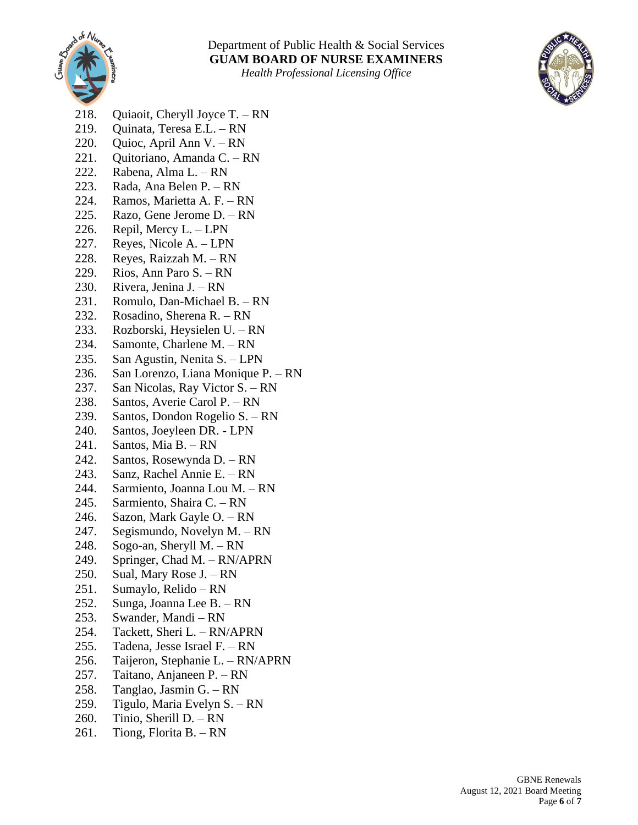



- 218. Quiaoit, Cheryll Joyce T. RN
- 219. Quinata, Teresa E.L. RN
- 220. Quioc, April Ann V. RN
- 221. Quitoriano, Amanda C. RN
- 222. Rabena, Alma L. RN
- 223. Rada, Ana Belen P. RN
- 224. Ramos, Marietta A. F. RN
- 225. Razo, Gene Jerome D. RN
- 226. Repil, Mercy L. LPN
- 227. Reyes, Nicole A. LPN
- 228. Reyes, Raizzah M. RN
- 229. Rios, Ann Paro S. RN
- 230. Rivera, Jenina J. RN
- 231. Romulo, Dan-Michael B. RN
- 232. Rosadino, Sherena R. RN
- 233. Rozborski, Heysielen U. RN
- 234. Samonte, Charlene M. RN
- 235. San Agustin, Nenita S. LPN
- 236. San Lorenzo, Liana Monique P. RN
- 237. San Nicolas, Ray Victor S. RN
- 238. Santos, Averie Carol P. RN
- 239. Santos, Dondon Rogelio S. RN
- 240. Santos, Joeyleen DR. LPN
- 241. Santos, Mia B. RN
- 242. Santos, Rosewynda D. RN
- 243. Sanz, Rachel Annie E. RN
- 244. Sarmiento, Joanna Lou M. RN
- 245. Sarmiento, Shaira C. RN
- 246. Sazon, Mark Gayle O. RN
- 247. Segismundo, Novelyn M. RN
- 248. Sogo-an, Sheryll M. RN
- 249. Springer, Chad M. RN/APRN
- 250. Sual, Mary Rose J. RN
- 251. Sumaylo, Relido RN
- 252. Sunga, Joanna Lee B. RN
- 253. Swander, Mandi RN
- 254. Tackett, Sheri L. RN/APRN
- 255. Tadena, Jesse Israel F. RN
- 256. Taijeron, Stephanie L. RN/APRN
- 257. Taitano, Anjaneen P. RN
- 258. Tanglao, Jasmin G. RN
- 259. Tigulo, Maria Evelyn S. RN
- 260. Tinio, Sherill D. RN
- 261. Tiong, Florita B. RN